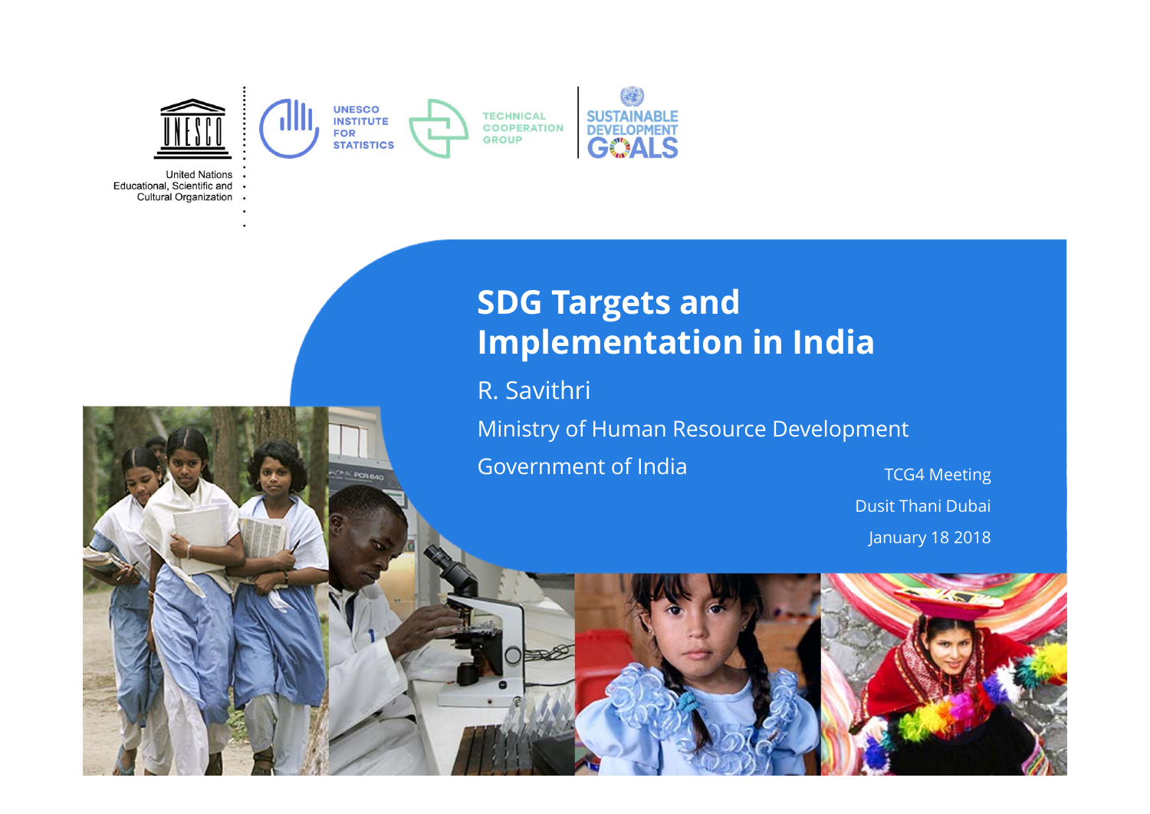

**United Nations** Educational, Scientific and Cultural Organization

## **SDG Targets and Implementation in India**

R. Savithri

Ministry of Human Resource Development

Government of India

 TCG4 Meeting Dusit Thani Dubai January 18 2018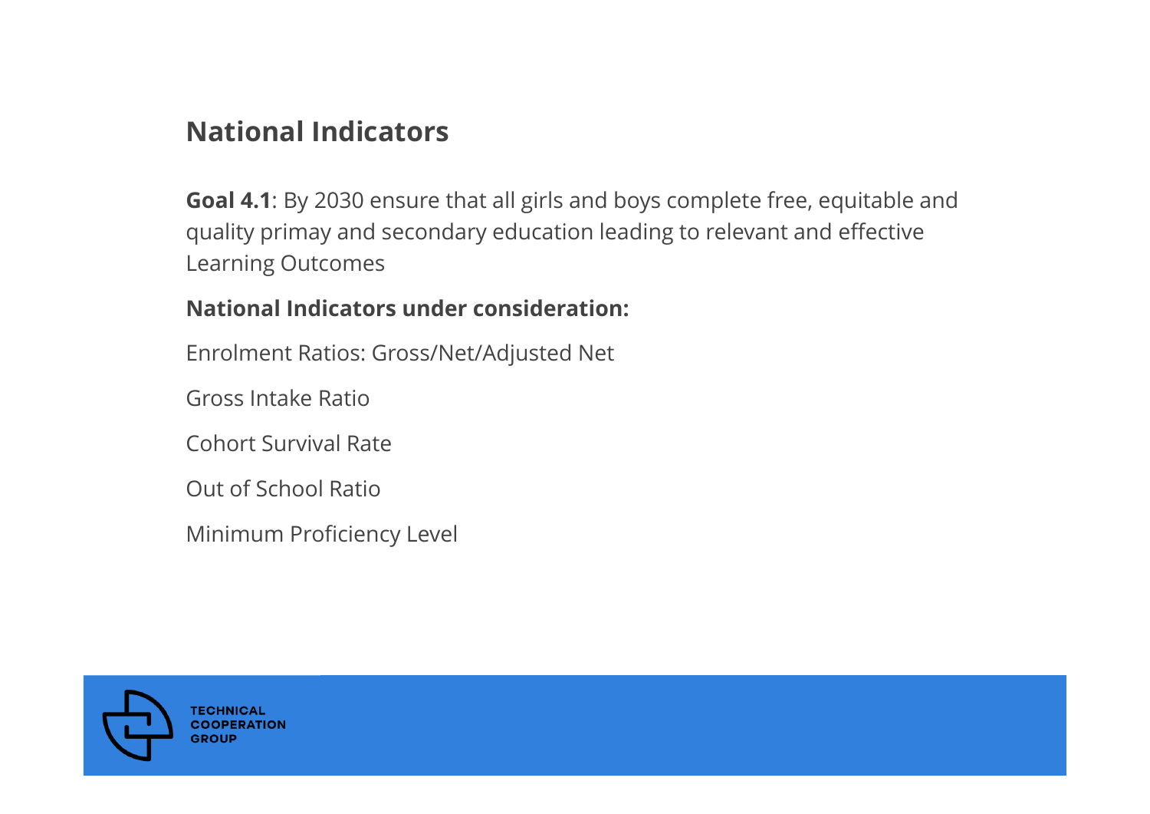#### **National Indicators**

**Goal 4.1**: By 2030 ensure that all girls and boys complete free, equitable and quality primay and secondary education leading to relevant and effective Learning Outcomes

#### **National Indicators under consideration:**

Enrolment Ratios: Gross/Net/Adjusted Net

Gross Intake Ratio

Cohort Survival Rate

Out of School Ratio

Minimum Proficiency Level

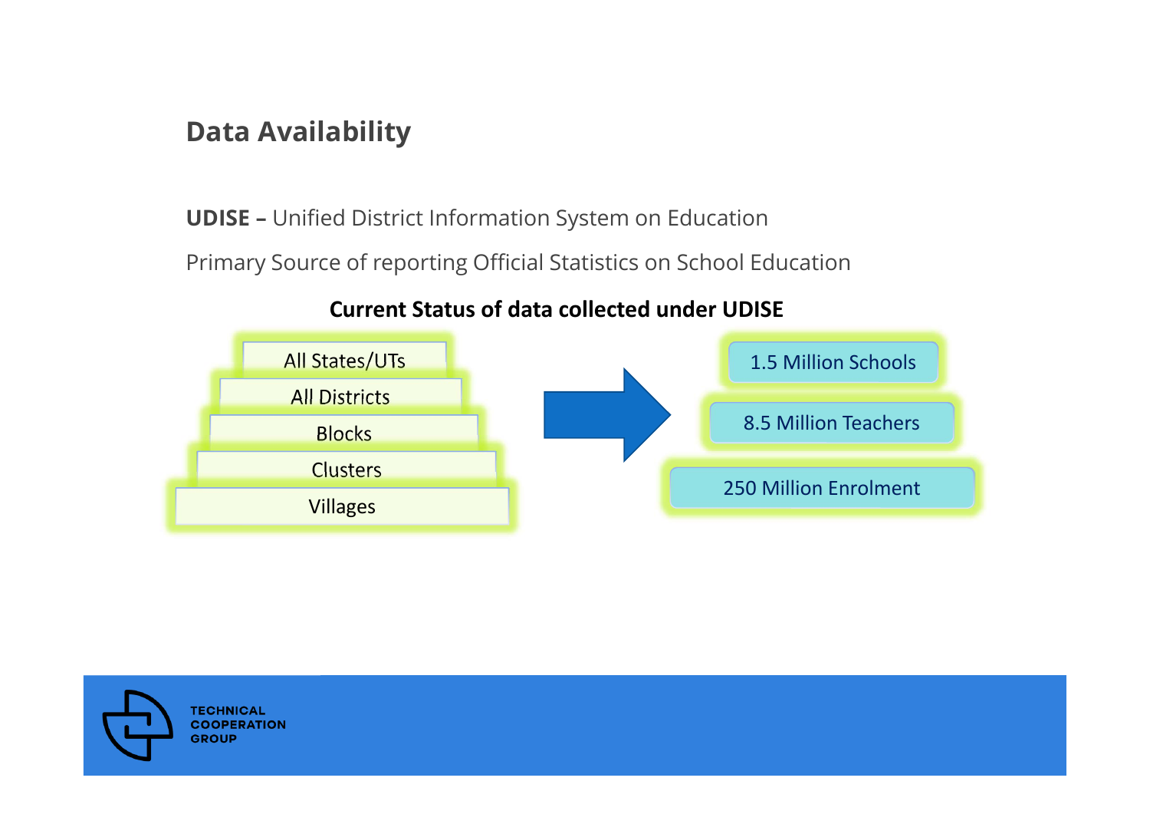#### **Data Availability**

**UDISE –** Unified District Information System on Education Primary Source of reporting Official Statistics on School Education



#### **Current Status of data collected under UDISE**

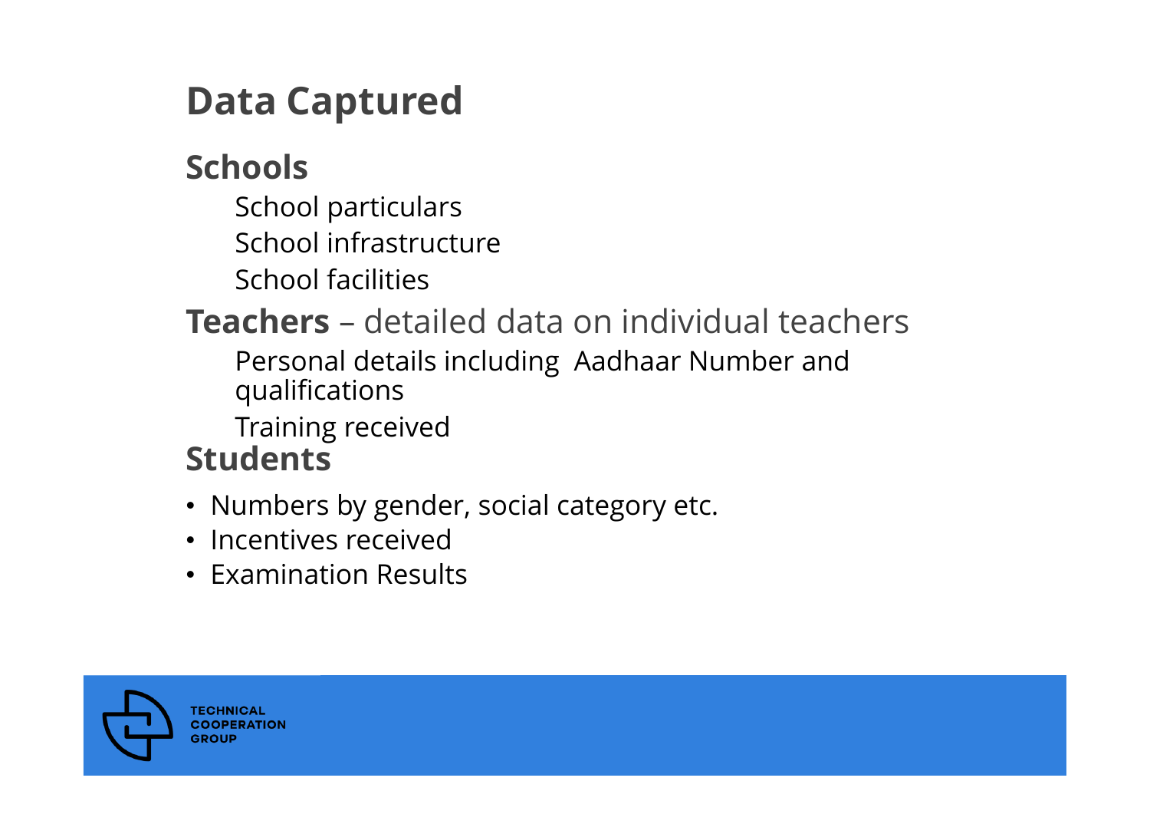# **Data Captured**

# **Schools**

School particulars School infrastructureSchool facilities

### **Teachers** – detailed data on individual teachers Personal details including Aadhaar Number and qualifications Training received **Students**

- Numbers by gender, social category etc.
- Incentives received
- Examination Results

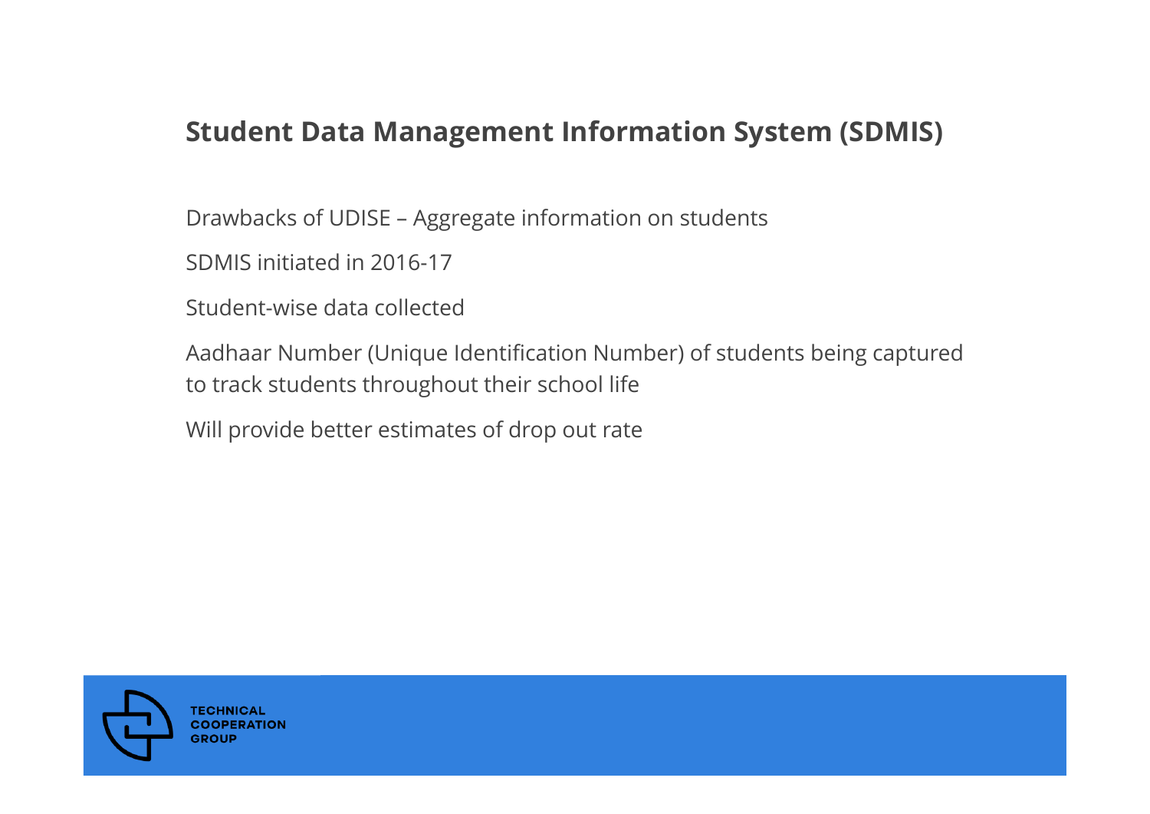#### **Student Data Management Information System (SDMIS)**

Drawbacks of UDISE – Aggregate information on students

SDMIS initiated in 2016-17

Student-wise data collected

Aadhaar Number (Unique Identification Number) of students being captured to track students throughout their school life

Will provide better estimates of drop out rate

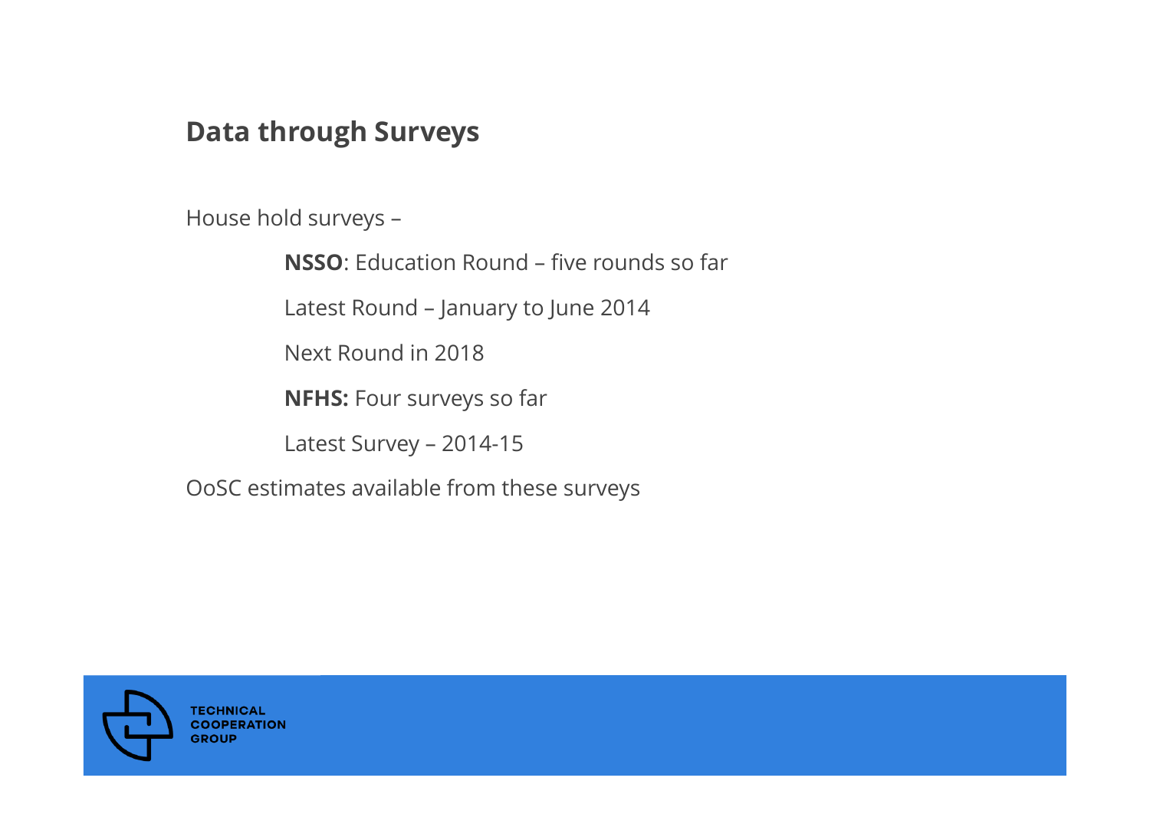#### **Data through Surveys**

House hold surveys –

**NSSO**: Education Round – five rounds so far

Latest Round – January to June 2014

Next Round in 2018

**NFHS:** Four surveys so far

Latest Survey – 2014-15

OoSC estimates available from these surveys

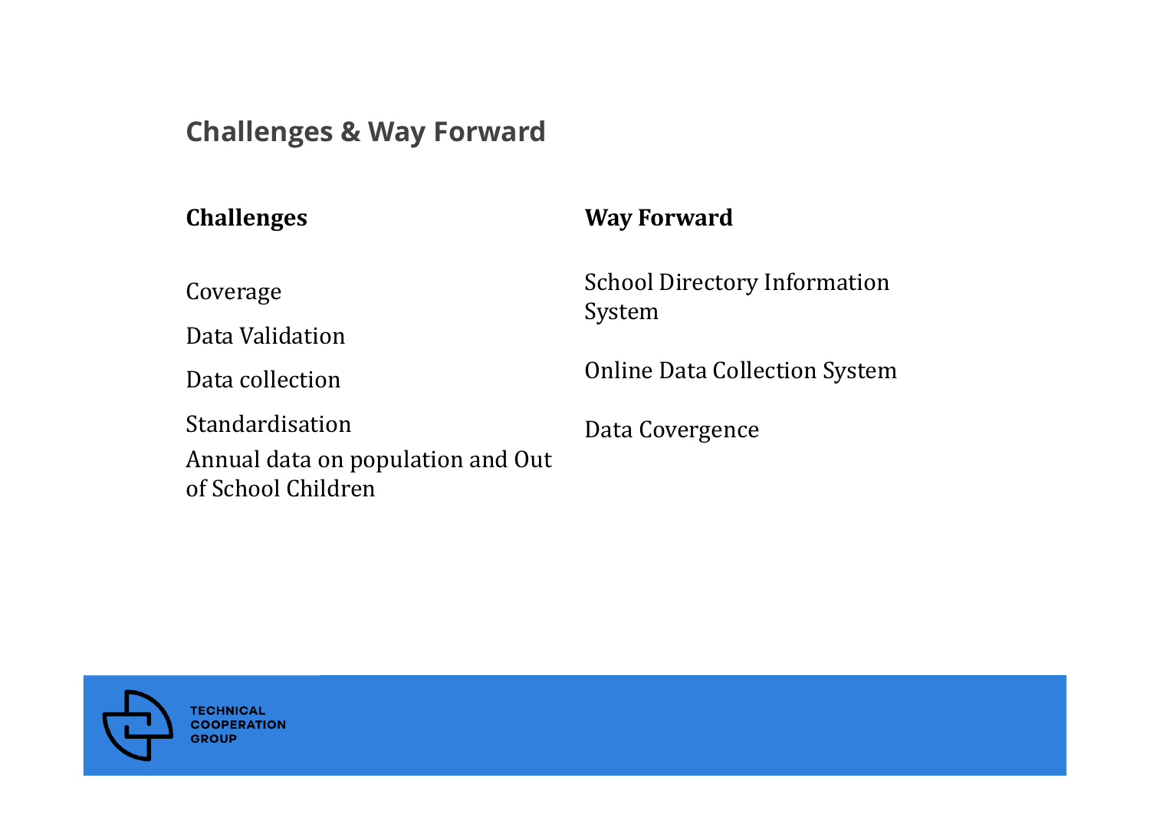#### **Challenges & Way Forward**

#### **Challenges Way Forward**

Coverage

Data Validation

Data collection

StandardisationAnnual data on population and Out of School Children

School Directory Information System

**Online Data Collection System** 

Data Covergence

**TECHNICAL COOPERATION GROUP**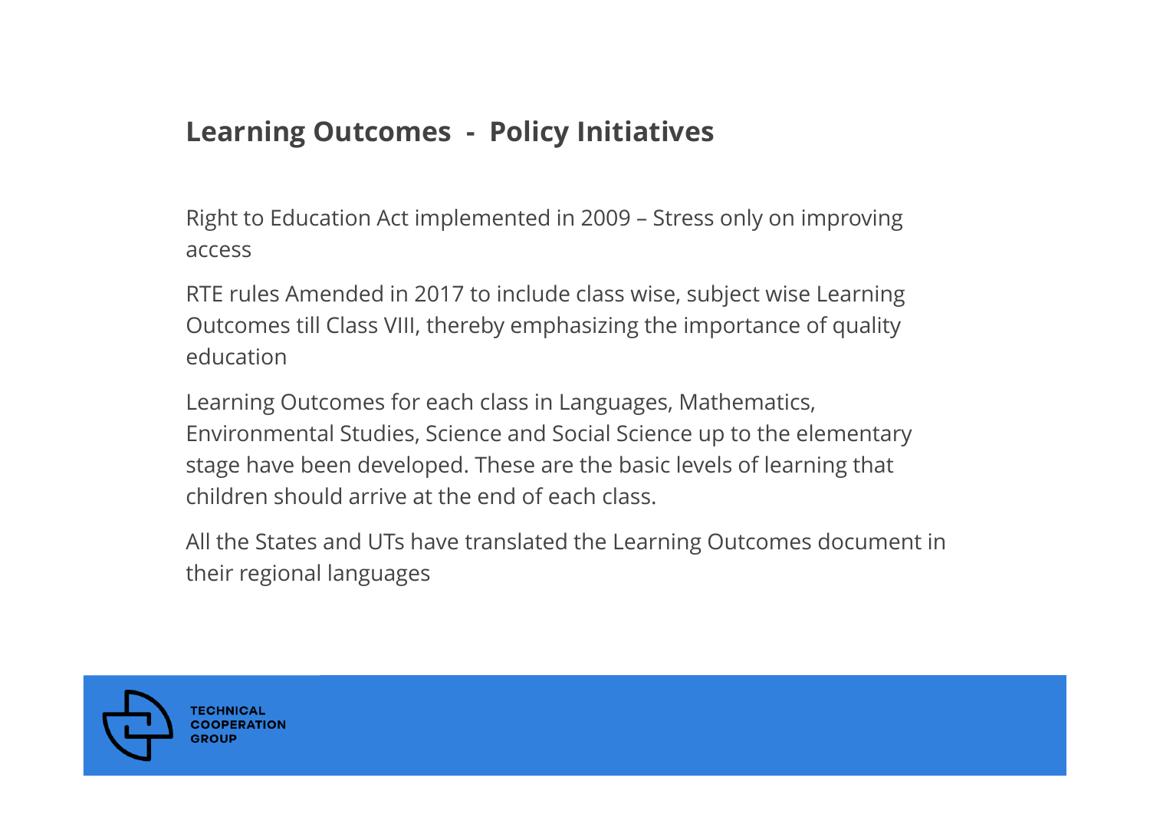#### **Learning Outcomes - Policy Initiatives**

Right to Education Act implemented in 2009 – Stress only on improving access

RTE rules Amended in 2017 to include class wise, subject wise Learning Outcomes till Class VIII, thereby emphasizing the importance of quality education

Learning Outcomes for each class in Languages, Mathematics, Environmental Studies, Science and Social Science up to the elementary stage have been developed. These are the basic levels of learning that children should arrive at the end of each class.

All the States and UTs have translated the Learning Outcomes document in their regional languages

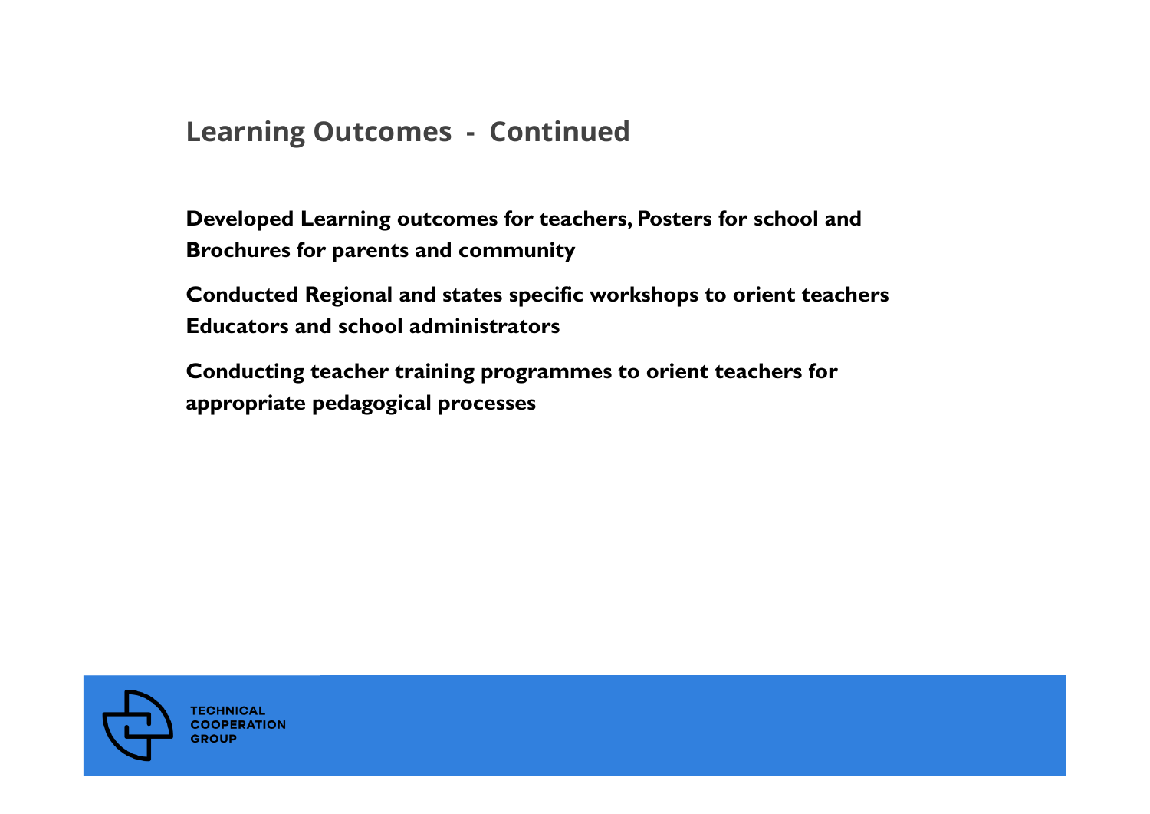#### **Learning Outcomes - Continued**

**Developed Learning outcomes for teachers, Posters for school and Brochures for parents and community** 

**Conducted Regional and states specific workshops to orient teachers Educators and school administrators** 

**Conducting teacher training programmes to orient teachers for appropriate pedagogical processes**

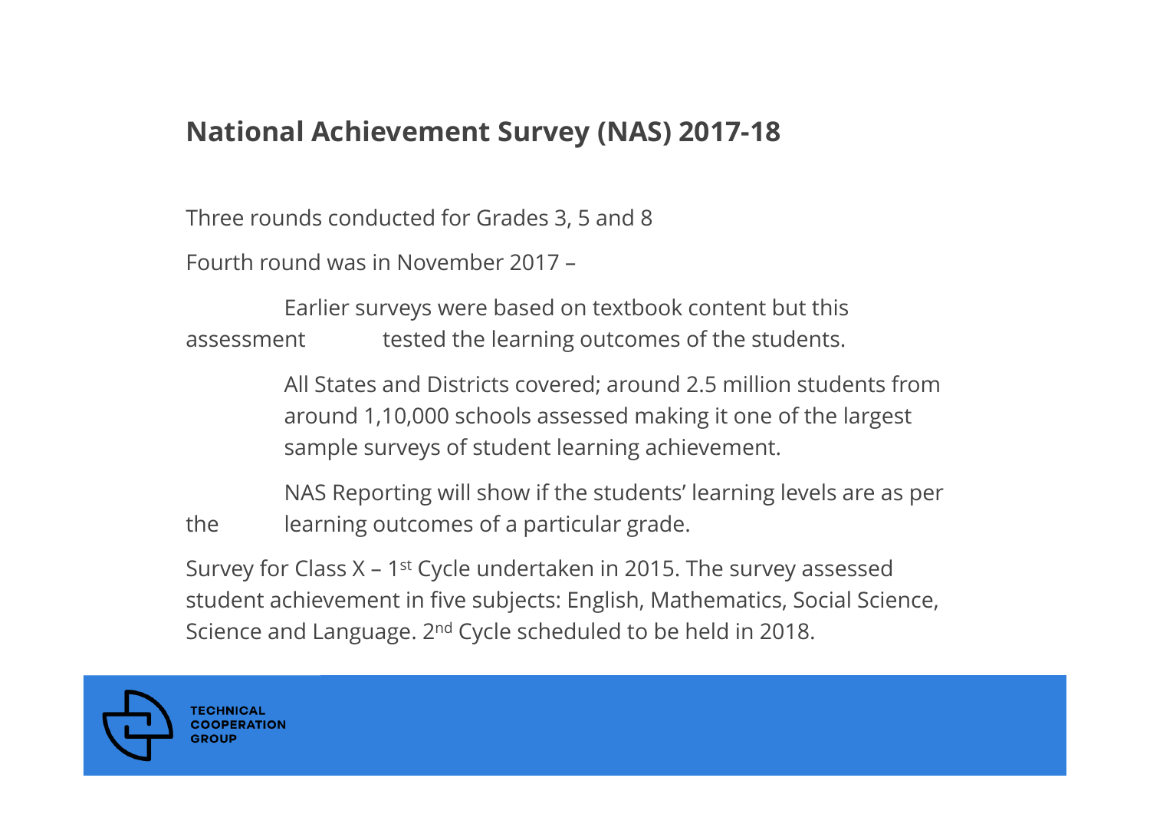#### **National Achievement Survey (NAS) 2017-18**

Three rounds conducted for Grades 3, 5 and 8

Fourth round was in November 2017 –

Earlier surveys were based on textbook content but this assessment tested the learning outcomes of the students.

> All States and Districts covered; around 2.5 million students from around 1,10,000 schools assessed making it one of the largest sample surveys of student learning achievement.

NAS Reporting will show if the students' learning levels are as per the learning outcomes of a particular grade.

Survey for Class  $X - 1$ <sup>st</sup> Cycle undertaken in 2015. The survey assessed student achievement in five subjects: English, Mathematics, Social Science, Science and Language. 2<sup>nd</sup> Cycle scheduled to be held in 2018.

**COOPERATION** GROU